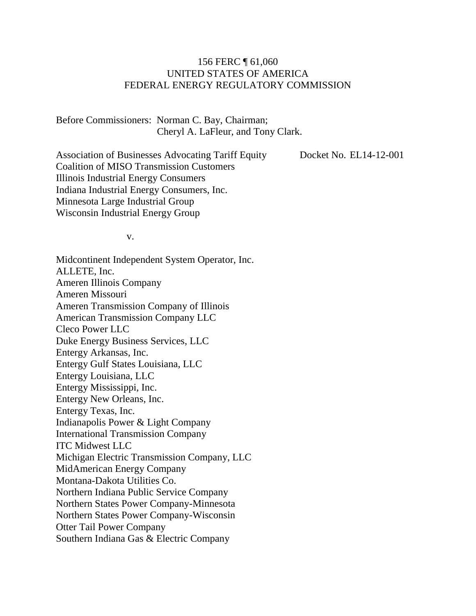#### 156 FERC ¶ 61,060 UNITED STATES OF AMERICA FEDERAL ENERGY REGULATORY COMMISSION

Before Commissioners: Norman C. Bay, Chairman; Cheryl A. LaFleur, and Tony Clark.

Association of Businesses Advocating Tariff Equity Coalition of MISO Transmission Customers Illinois Industrial Energy Consumers Indiana Industrial Energy Consumers, Inc. Minnesota Large Industrial Group Wisconsin Industrial Energy Group

Docket No. EL14-12-001

v.

Midcontinent Independent System Operator, Inc. ALLETE, Inc. Ameren Illinois Company Ameren Missouri Ameren Transmission Company of Illinois American Transmission Company LLC Cleco Power LLC Duke Energy Business Services, LLC Entergy Arkansas, Inc. Entergy Gulf States Louisiana, LLC Entergy Louisiana, LLC Entergy Mississippi, Inc. Entergy New Orleans, Inc. Entergy Texas, Inc. Indianapolis Power & Light Company International Transmission Company ITC Midwest LLC Michigan Electric Transmission Company, LLC MidAmerican Energy Company Montana-Dakota Utilities Co. Northern Indiana Public Service Company Northern States Power Company-Minnesota Northern States Power Company-Wisconsin Otter Tail Power Company Southern Indiana Gas & Electric Company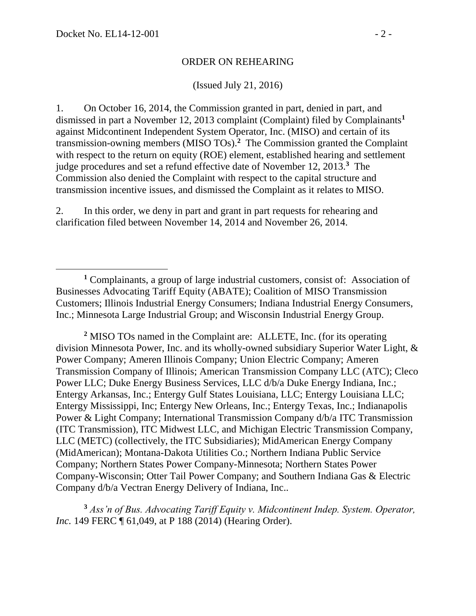$\overline{a}$ 

#### ORDER ON REHEARING

(Issued July 21, 2016)

1. On October 16, 2014, the Commission granted in part, denied in part, and dismissed in part a November 12, 2013 complaint (Complaint) filed by Complainants**<sup>1</sup>** against Midcontinent Independent System Operator, Inc. (MISO) and certain of its transmission-owning members (MISO TOs). **2** The Commission granted the Complaint with respect to the return on equity (ROE) element, established hearing and settlement judge procedures and set a refund effective date of November 12, 2013.**<sup>3</sup>** The Commission also denied the Complaint with respect to the capital structure and transmission incentive issues, and dismissed the Complaint as it relates to MISO.

2. In this order, we deny in part and grant in part requests for rehearing and clarification filed between November 14, 2014 and November 26, 2014.

**<sup>2</sup>** MISO TOs named in the Complaint are: ALLETE, Inc. (for its operating division Minnesota Power, Inc. and its wholly-owned subsidiary Superior Water Light, & Power Company; Ameren Illinois Company; Union Electric Company; Ameren Transmission Company of Illinois; American Transmission Company LLC (ATC); Cleco Power LLC; Duke Energy Business Services, LLC d/b/a Duke Energy Indiana, Inc.; Entergy Arkansas, Inc.; Entergy Gulf States Louisiana, LLC; Entergy Louisiana LLC; Entergy Mississippi, Inc; Entergy New Orleans, Inc.; Entergy Texas, Inc.; Indianapolis Power & Light Company; International Transmission Company d/b/a ITC Transmission (ITC Transmission), ITC Midwest LLC, and Michigan Electric Transmission Company, LLC (METC) (collectively, the ITC Subsidiaries); MidAmerican Energy Company (MidAmerican); Montana-Dakota Utilities Co.; Northern Indiana Public Service Company; Northern States Power Company-Minnesota; Northern States Power Company-Wisconsin; Otter Tail Power Company; and Southern Indiana Gas & Electric Company d/b/a Vectran Energy Delivery of Indiana, Inc..

**<sup>3</sup>** *Ass'n of Bus. Advocating Tariff Equity v. Midcontinent Indep. System. Operator, Inc.* 149 FERC ¶ 61,049, at P 188 (2014) (Hearing Order).

**<sup>1</sup>** Complainants, a group of large industrial customers, consist of: Association of Businesses Advocating Tariff Equity (ABATE); Coalition of MISO Transmission Customers; Illinois Industrial Energy Consumers; Indiana Industrial Energy Consumers, Inc.; Minnesota Large Industrial Group; and Wisconsin Industrial Energy Group.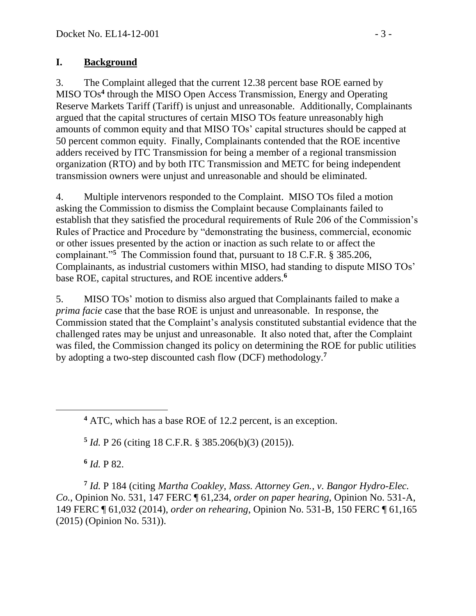#### **I. Background**

3. The Complaint alleged that the current 12.38 percent base ROE earned by MISO TOs**<sup>4</sup>** through the MISO Open Access Transmission, Energy and Operating Reserve Markets Tariff (Tariff) is unjust and unreasonable. Additionally, Complainants argued that the capital structures of certain MISO TOs feature unreasonably high amounts of common equity and that MISO TOs' capital structures should be capped at 50 percent common equity. Finally, Complainants contended that the ROE incentive adders received by ITC Transmission for being a member of a regional transmission organization (RTO) and by both ITC Transmission and METC for being independent transmission owners were unjust and unreasonable and should be eliminated.

4. Multiple intervenors responded to the Complaint. MISO TOs filed a motion asking the Commission to dismiss the Complaint because Complainants failed to establish that they satisfied the procedural requirements of Rule 206 of the Commission's Rules of Practice and Procedure by "demonstrating the business, commercial, economic or other issues presented by the action or inaction as such relate to or affect the complainant."**<sup>5</sup>** The Commission found that, pursuant to 18 C.F.R. § 385.206, Complainants, as industrial customers within MISO, had standing to dispute MISO TOs' base ROE, capital structures, and ROE incentive adders.**<sup>6</sup>**

5. MISO TOs' motion to dismiss also argued that Complainants failed to make a *prima facie* case that the base ROE is unjust and unreasonable. In response, the Commission stated that the Complaint's analysis constituted substantial evidence that the challenged rates may be unjust and unreasonable. It also noted that, after the Complaint was filed, the Commission changed its policy on determining the ROE for public utilities by adopting a two-step discounted cash flow (DCF) methodology.**<sup>7</sup>**

**5** *Id.* P 26 (citing 18 C.F.R. § 385.206(b)(3) (2015)).

**6** *Id.* P 82.

**7** *Id.* P 184 (citing *Martha Coakley, Mass. Attorney Gen., v. Bangor Hydro-Elec. Co.,* Opinion No. 531, 147 FERC ¶ 61,234, *order on paper hearing*, Opinion No. 531-A, 149 FERC ¶ 61,032 (2014), *order on rehearing*, Opinion No. 531-B, 150 FERC ¶ 61,165 (2015) (Opinion No. 531)).

**<sup>4</sup>** ATC, which has a base ROE of 12.2 percent, is an exception.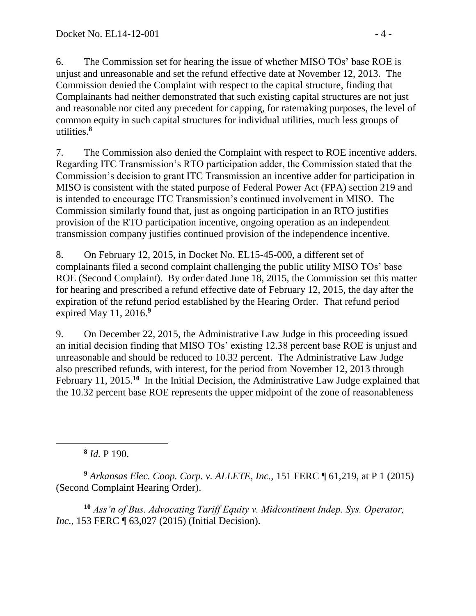6. The Commission set for hearing the issue of whether MISO TOs' base ROE is unjust and unreasonable and set the refund effective date at November 12, 2013. The Commission denied the Complaint with respect to the capital structure, finding that Complainants had neither demonstrated that such existing capital structures are not just and reasonable nor cited any precedent for capping, for ratemaking purposes, the level of common equity in such capital structures for individual utilities, much less groups of utilities.**<sup>8</sup>**

7. The Commission also denied the Complaint with respect to ROE incentive adders. Regarding ITC Transmission's RTO participation adder, the Commission stated that the Commission's decision to grant ITC Transmission an incentive adder for participation in MISO is consistent with the stated purpose of Federal Power Act (FPA) section 219 and is intended to encourage ITC Transmission's continued involvement in MISO. The Commission similarly found that, just as ongoing participation in an RTO justifies provision of the RTO participation incentive, ongoing operation as an independent transmission company justifies continued provision of the independence incentive.

8. On February 12, 2015, in Docket No. EL15-45-000, a different set of complainants filed a second complaint challenging the public utility MISO TOs' base ROE (Second Complaint). By order dated June 18, 2015, the Commission set this matter for hearing and prescribed a refund effective date of February 12, 2015, the day after the expiration of the refund period established by the Hearing Order. That refund period expired May 11, 2016.**<sup>9</sup>**

9. On December 22, 2015, the Administrative Law Judge in this proceeding issued an initial decision finding that MISO TOs' existing 12.38 percent base ROE is unjust and unreasonable and should be reduced to 10.32 percent. The Administrative Law Judge also prescribed refunds, with interest, for the period from November 12, 2013 through February 11, 2015.<sup>10</sup> In the Initial Decision, the Administrative Law Judge explained that the 10.32 percent base ROE represents the upper midpoint of the zone of reasonableness

**8** *Id.* P 190.

**<sup>9</sup>** *Arkansas Elec. Coop. Corp. v. ALLETE, Inc.,* 151 FERC ¶ 61,219, at P 1 (2015) (Second Complaint Hearing Order).

**<sup>10</sup>** *Ass'n of Bus. Advocating Tariff Equity v. Midcontinent Indep. Sys. Operator, Inc.*, 153 FERC ¶ 63,027 (2015) (Initial Decision).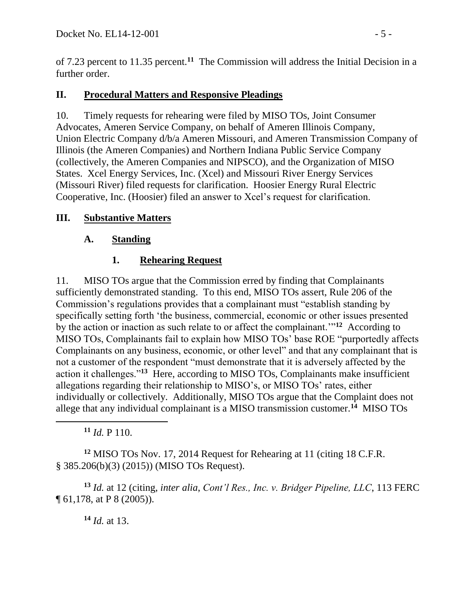of 7.23 percent to 11.35 percent.**<sup>11</sup>** The Commission will address the Initial Decision in a further order.

### **II. Procedural Matters and Responsive Pleadings**

10. Timely requests for rehearing were filed by MISO TOs, Joint Consumer Advocates, Ameren Service Company, on behalf of Ameren Illinois Company, Union Electric Company d/b/a Ameren Missouri, and Ameren Transmission Company of Illinois (the Ameren Companies) and Northern Indiana Public Service Company (collectively, the Ameren Companies and NIPSCO), and the Organization of MISO States. Xcel Energy Services, Inc. (Xcel) and Missouri River Energy Services (Missouri River) filed requests for clarification. Hoosier Energy Rural Electric Cooperative, Inc. (Hoosier) filed an answer to Xcel's request for clarification.

#### **III. Substantive Matters**

#### **A. Standing**

### **1. Rehearing Request**

11. MISO TOs argue that the Commission erred by finding that Complainants sufficiently demonstrated standing. To this end, MISO TOs assert, Rule 206 of the Commission's regulations provides that a complainant must "establish standing by specifically setting forth 'the business, commercial, economic or other issues presented by the action or inaction as such relate to or affect the complainant.'"**<sup>12</sup>** According to MISO TOs, Complainants fail to explain how MISO TOs' base ROE "purportedly affects Complainants on any business, economic, or other level" and that any complainant that is not a customer of the respondent "must demonstrate that it is adversely affected by the action it challenges."**<sup>13</sup>** Here, according to MISO TOs, Complainants make insufficient allegations regarding their relationship to MISO's, or MISO TOs' rates, either individually or collectively. Additionally, MISO TOs argue that the Complaint does not allege that any individual complainant is a MISO transmission customer.**<sup>14</sup>** MISO TOs

**<sup>11</sup>** *Id.* P 110.

**<sup>12</sup>** MISO TOs Nov. 17, 2014 Request for Rehearing at 11 (citing 18 C.F.R. § 385.206(b)(3) (2015)) (MISO TOs Request).

**<sup>13</sup>** *Id.* at 12 (citing, *inter alia*, *Cont'l Res., Inc. v. Bridger Pipeline, LLC*, 113 FERC ¶ 61,178, at P 8 (2005)).

**<sup>14</sup>** *Id.* at 13.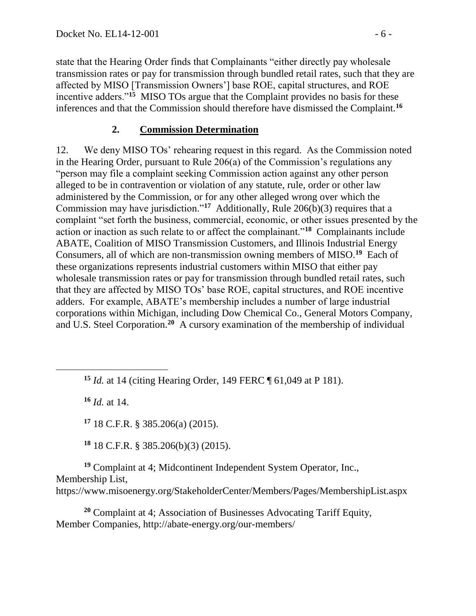state that the Hearing Order finds that Complainants "either directly pay wholesale transmission rates or pay for transmission through bundled retail rates, such that they are affected by MISO [Transmission Owners'] base ROE, capital structures, and ROE incentive adders."**<sup>15</sup>** MISO TOs argue that the Complaint provides no basis for these inferences and that the Commission should therefore have dismissed the Complaint.**<sup>16</sup>**

#### **2. Commission Determination**

12. We deny MISO TOs' rehearing request in this regard. As the Commission noted in the Hearing Order, pursuant to Rule 206(a) of the Commission's regulations any "person may file a complaint seeking Commission action against any other person alleged to be in contravention or violation of any statute, rule, order or other law administered by the Commission, or for any other alleged wrong over which the Commission may have jurisdiction."**<sup>17</sup>** Additionally, Rule 206(b)(3) requires that a complaint "set forth the business, commercial, economic, or other issues presented by the action or inaction as such relate to or affect the complainant."**<sup>18</sup>** Complainants include ABATE, Coalition of MISO Transmission Customers, and Illinois Industrial Energy Consumers, all of which are non-transmission owning members of MISO.**<sup>19</sup>** Each of these organizations represents industrial customers within MISO that either pay wholesale transmission rates or pay for transmission through bundled retail rates, such that they are affected by MISO TOs' base ROE, capital structures, and ROE incentive adders. For example, ABATE's membership includes a number of large industrial corporations within Michigan, including Dow Chemical Co., General Motors Company, and U.S. Steel Corporation.<sup>20</sup> A cursory examination of the membership of individual

**<sup>15</sup>** *Id.* at 14 (citing Hearing Order, 149 FERC ¶ 61,049 at P 181).

**<sup>16</sup>** *Id.* at 14.

**<sup>17</sup>** 18 C.F.R. § 385.206(a) (2015).

**<sup>18</sup>** 18 C.F.R. § 385.206(b)(3) (2015).

**<sup>19</sup>** Complaint at 4; Midcontinent Independent System Operator, Inc., Membership List, https://www.misoenergy.org/StakeholderCenter/Members/Pages/MembershipList.aspx

**<sup>20</sup>** Complaint at 4; Association of Businesses Advocating Tariff Equity, Member Companies, http://abate-energy.org/our-members/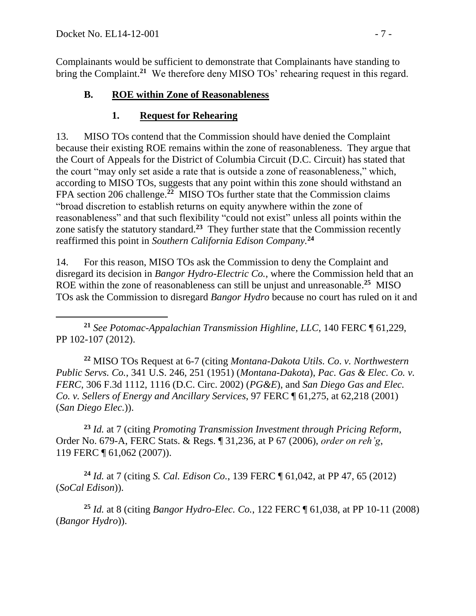Complainants would be sufficient to demonstrate that Complainants have standing to bring the Complaint.**<sup>21</sup>** We therefore deny MISO TOs' rehearing request in this regard.

### **B. ROE within Zone of Reasonableness**

### **1. Request for Rehearing**

13. MISO TOs contend that the Commission should have denied the Complaint because their existing ROE remains within the zone of reasonableness. They argue that the Court of Appeals for the District of Columbia Circuit (D.C. Circuit) has stated that the court "may only set aside a rate that is outside a zone of reasonableness," which, according to MISO TOs, suggests that any point within this zone should withstand an FPA section 206 challenge.**<sup>22</sup>** MISO TOs further state that the Commission claims "broad discretion to establish returns on equity anywhere within the zone of reasonableness" and that such flexibility "could not exist" unless all points within the zone satisfy the statutory standard.**<sup>23</sup>** They further state that the Commission recently reaffirmed this point in *Southern California Edison Company.***<sup>24</sup>**

14. For this reason, MISO TOs ask the Commission to deny the Complaint and disregard its decision in *Bangor Hydro-Electric Co.*, where the Commission held that an ROE within the zone of reasonableness can still be unjust and unreasonable. **25** MISO TOs ask the Commission to disregard *Bangor Hydro* because no court has ruled on it and

 $\overline{a}$ **<sup>21</sup>** *See Potomac-Appalachian Transmission Highline, LLC*, 140 FERC ¶ 61,229, PP 102-107 (2012).

**<sup>22</sup>** MISO TOs Request at 6-7 (citing *Montana-Dakota Utils. Co*. *v. Northwestern Public Servs. Co.*, 341 U.S. 246, 251 (1951) (*Montana-Dakota*), *Pac. Gas & Elec. Co. v. FERC*, 306 F.3d 1112, 1116 (D.C. Circ. 2002) (*PG&E*), and *San Diego Gas and Elec. Co. v. Sellers of Energy and Ancillary Services*, 97 FERC ¶ 61,275, at 62,218 (2001) (*San Diego Elec.*)).

**<sup>23</sup>** *Id.* at 7 (citing *Promoting Transmission Investment through Pricing Reform*, Order No. 679-A, FERC Stats. & Regs. ¶ 31,236, at P 67 (2006), *order on reh'g*, 119 FERC ¶ 61,062 (2007)).

**<sup>24</sup>** *Id.* at 7 (citing *S. Cal. Edison Co.*, 139 FERC ¶ 61,042, at PP 47, 65 (2012) (*SoCal Edison*)).

**<sup>25</sup>** *Id.* at 8 (citing *Bangor Hydro-Elec. Co.*, 122 FERC ¶ 61,038, at PP 10-11 (2008) (*Bangor Hydro*)).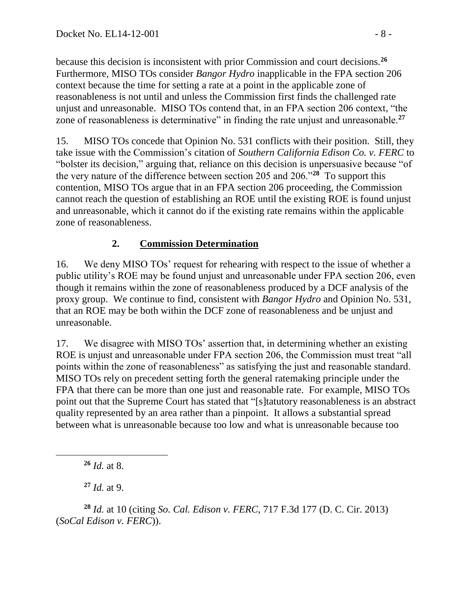because this decision is inconsistent with prior Commission and court decisions.**<sup>26</sup>** Furthermore, MISO TOs consider *Bangor Hydro* inapplicable in the FPA section 206 context because the time for setting a rate at a point in the applicable zone of reasonableness is not until and unless the Commission first finds the challenged rate unjust and unreasonable. MISO TOs contend that, in an FPA section 206 context, "the zone of reasonableness is determinative" in finding the rate unjust and unreasonable.**<sup>27</sup>**

15. MISO TOs concede that Opinion No. 531 conflicts with their position. Still, they take issue with the Commission's citation of *Southern California Edison Co. v. FERC* to "bolster its decision," arguing that, reliance on this decision is unpersuasive because "of the very nature of the difference between section 205 and 206."**<sup>28</sup>** To support this contention, MISO TOs argue that in an FPA section 206 proceeding, the Commission cannot reach the question of establishing an ROE until the existing ROE is found unjust and unreasonable, which it cannot do if the existing rate remains within the applicable zone of reasonableness.

## **2. Commission Determination**

16. We deny MISO TOs' request for rehearing with respect to the issue of whether a public utility's ROE may be found unjust and unreasonable under FPA section 206, even though it remains within the zone of reasonableness produced by a DCF analysis of the proxy group. We continue to find, consistent with *Bangor Hydro* and Opinion No. 531, that an ROE may be both within the DCF zone of reasonableness and be unjust and unreasonable.

17. We disagree with MISO TOs' assertion that, in determining whether an existing ROE is unjust and unreasonable under FPA section 206, the Commission must treat "all points within the zone of reasonableness" as satisfying the just and reasonable standard. MISO TOs rely on precedent setting forth the general ratemaking principle under the FPA that there can be more than one just and reasonable rate. For example, MISO TOs point out that the Supreme Court has stated that "[s]tatutory reasonableness is an abstract quality represented by an area rather than a pinpoint. It allows a substantial spread between what is unreasonable because too low and what is unreasonable because too

**<sup>27</sup>** *Id.* at 9.

**<sup>28</sup>** *Id.* at 10 (citing *So. Cal. Edison v. FERC*, 717 F.3d 177 (D. C. Cir. 2013) (*SoCal Edison v. FERC*)).

**<sup>26</sup>** *Id.* at 8.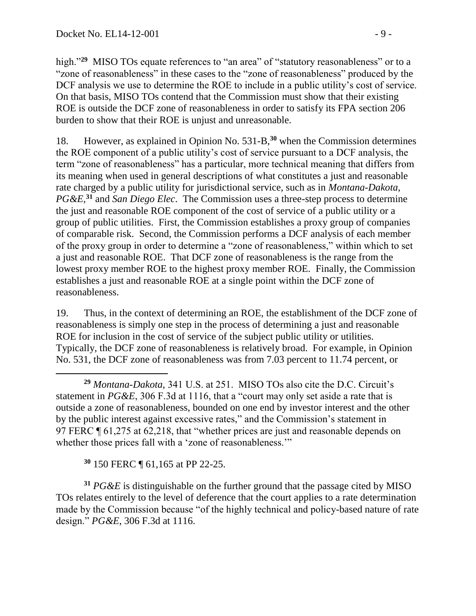high."<sup>29</sup> MISO TOs equate references to "an area" of "statutory reasonableness" or to a "zone of reasonableness" in these cases to the "zone of reasonableness" produced by the DCF analysis we use to determine the ROE to include in a public utility's cost of service. On that basis, MISO TOs contend that the Commission must show that their existing ROE is outside the DCF zone of reasonableness in order to satisfy its FPA section 206 burden to show that their ROE is unjust and unreasonable.

18. However, as explained in Opinion No. 531-B,**<sup>30</sup>** when the Commission determines the ROE component of a public utility's cost of service pursuant to a DCF analysis, the term "zone of reasonableness" has a particular, more technical meaning that differs from its meaning when used in general descriptions of what constitutes a just and reasonable rate charged by a public utility for jurisdictional service, such as in *Montana-Dakota*, *PG&E*, **<sup>31</sup>** and *San Diego Elec*. The Commission uses a three-step process to determine the just and reasonable ROE component of the cost of service of a public utility or a group of public utilities. First, the Commission establishes a proxy group of companies of comparable risk. Second, the Commission performs a DCF analysis of each member of the proxy group in order to determine a "zone of reasonableness," within which to set a just and reasonable ROE. That DCF zone of reasonableness is the range from the lowest proxy member ROE to the highest proxy member ROE. Finally, the Commission establishes a just and reasonable ROE at a single point within the DCF zone of reasonableness.

19. Thus, in the context of determining an ROE, the establishment of the DCF zone of reasonableness is simply one step in the process of determining a just and reasonable ROE for inclusion in the cost of service of the subject public utility or utilities. Typically, the DCF zone of reasonableness is relatively broad. For example, in Opinion No. 531, the DCF zone of reasonableness was from 7.03 percent to 11.74 percent, or

**<sup>29</sup>** *Montana-Dakota*, 341 U.S. at 251. MISO TOs also cite the D.C. Circuit's statement in *PG&E*, 306 F.3d at 1116, that a "court may only set aside a rate that is outside a zone of reasonableness, bounded on one end by investor interest and the other by the public interest against excessive rates," and the Commission's statement in 97 FERC ¶ 61,275 at 62,218, that "whether prices are just and reasonable depends on whether those prices fall with a 'zone of reasonableness.'"

**<sup>30</sup>** 150 FERC ¶ 61,165 at PP 22-25.

**<sup>31</sup>** *PG&E* is distinguishable on the further ground that the passage cited by MISO TOs relates entirely to the level of deference that the court applies to a rate determination made by the Commission because "of the highly technical and policy-based nature of rate design." *PG&E*, 306 F.3d at 1116.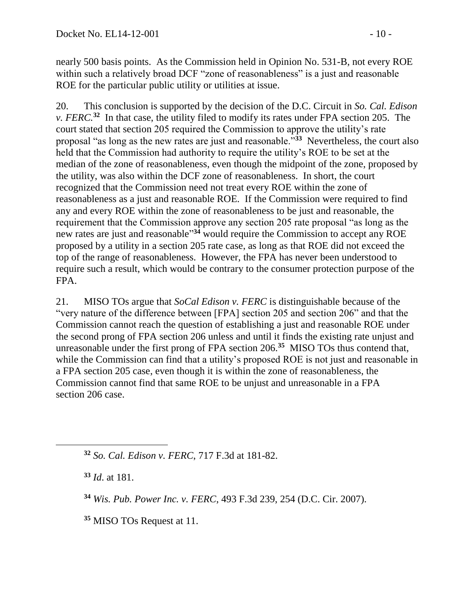nearly 500 basis points. As the Commission held in Opinion No. 531-B, not every ROE within such a relatively broad DCF "zone of reasonableness" is a just and reasonable ROE for the particular public utility or utilities at issue.

20. This conclusion is supported by the decision of the D.C. Circuit in *So. Cal. Edison v. FERC*<sup>32</sup> In that case, the utility filed to modify its rates under FPA section 205. The court stated that section 205 required the Commission to approve the utility's rate proposal "as long as the new rates are just and reasonable."**<sup>33</sup>** Nevertheless, the court also held that the Commission had authority to require the utility's ROE to be set at the median of the zone of reasonableness, even though the midpoint of the zone, proposed by the utility, was also within the DCF zone of reasonableness. In short, the court recognized that the Commission need not treat every ROE within the zone of reasonableness as a just and reasonable ROE. If the Commission were required to find any and every ROE within the zone of reasonableness to be just and reasonable, the requirement that the Commission approve any section 205 rate proposal "as long as the new rates are just and reasonable" **<sup>34</sup>** would require the Commission to accept any ROE proposed by a utility in a section 205 rate case, as long as that ROE did not exceed the top of the range of reasonableness. However, the FPA has never been understood to require such a result, which would be contrary to the consumer protection purpose of the FPA.

21. MISO TOs argue that *SoCal Edison v. FERC* is distinguishable because of the "very nature of the difference between [FPA] section 205 and section 206" and that the Commission cannot reach the question of establishing a just and reasonable ROE under the second prong of FPA section 206 unless and until it finds the existing rate unjust and unreasonable under the first prong of FPA section 206.**<sup>35</sup>** MISO TOs thus contend that, while the Commission can find that a utility's proposed ROE is not just and reasonable in a FPA section 205 case, even though it is within the zone of reasonableness, the Commission cannot find that same ROE to be unjust and unreasonable in a FPA section 206 case.

**<sup>32</sup>** *So. Cal. Edison v. FERC*, 717 F.3d at 181-82.

**<sup>33</sup>** *Id*. at 181.

 $\overline{a}$ 

**<sup>34</sup>** *Wis. Pub. Power Inc. v. FERC*, 493 F.3d 239, 254 (D.C. Cir. 2007).

**<sup>35</sup>** MISO TOs Request at 11.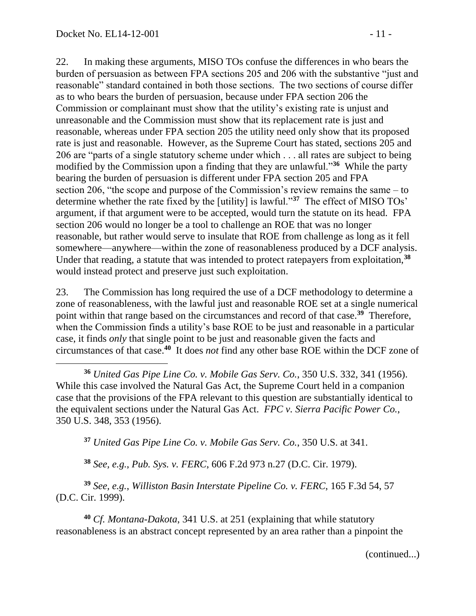22. In making these arguments, MISO TOs confuse the differences in who bears the burden of persuasion as between FPA sections 205 and 206 with the substantive "just and reasonable" standard contained in both those sections. The two sections of course differ as to who bears the burden of persuasion, because under FPA section 206 the Commission or complainant must show that the utility's existing rate is unjust and unreasonable and the Commission must show that its replacement rate is just and reasonable, whereas under FPA section 205 the utility need only show that its proposed rate is just and reasonable. However, as the Supreme Court has stated, sections 205 and 206 are "parts of a single statutory scheme under which . . . all rates are subject to being modified by the Commission upon a finding that they are unlawful."**<sup>36</sup>** While the party bearing the burden of persuasion is different under FPA section 205 and FPA section 206, "the scope and purpose of the Commission's review remains the same – to determine whether the rate fixed by the [utility] is lawful."**<sup>37</sup>** The effect of MISO TOs' argument, if that argument were to be accepted, would turn the statute on its head. FPA section 206 would no longer be a tool to challenge an ROE that was no longer reasonable, but rather would serve to insulate that ROE from challenge as long as it fell somewhere—anywhere—within the zone of reasonableness produced by a DCF analysis. Under that reading, a statute that was intended to protect ratepayers from exploitation,**<sup>38</sup>** would instead protect and preserve just such exploitation.

23. The Commission has long required the use of a DCF methodology to determine a zone of reasonableness, with the lawful just and reasonable ROE set at a single numerical point within that range based on the circumstances and record of that case.**<sup>39</sup>** Therefore, when the Commission finds a utility's base ROE to be just and reasonable in a particular case, it finds *only* that single point to be just and reasonable given the facts and circumstances of that case.**<sup>40</sup>** It does *not* find any other base ROE within the DCF zone of

**<sup>37</sup>** *United Gas Pipe Line Co. v. Mobile Gas Serv. Co.*, 350 U.S. at 341.

**<sup>38</sup>** *See, e.g.*, *Pub. Sys. v. FERC*, 606 F.2d 973 n.27 (D.C. Cir. 1979).

**<sup>39</sup>** *See, e.g.*, *Williston Basin Interstate Pipeline Co. v. FERC*, 165 F.3d 54, 57 (D.C. Cir. 1999).

**<sup>40</sup>** *Cf. Montana-Dakota*, 341 U.S. at 251 (explaining that while statutory reasonableness is an abstract concept represented by an area rather than a pinpoint the

(continued...)

 $\overline{a}$ **<sup>36</sup>** *United Gas Pipe Line Co. v. Mobile Gas Serv. Co.*, 350 U.S. 332, 341 (1956). While this case involved the Natural Gas Act, the Supreme Court held in a companion case that the provisions of the FPA relevant to this question are substantially identical to the equivalent sections under the Natural Gas Act. *FPC v. Sierra Pacific Power Co.*, 350 U.S. 348, 353 (1956).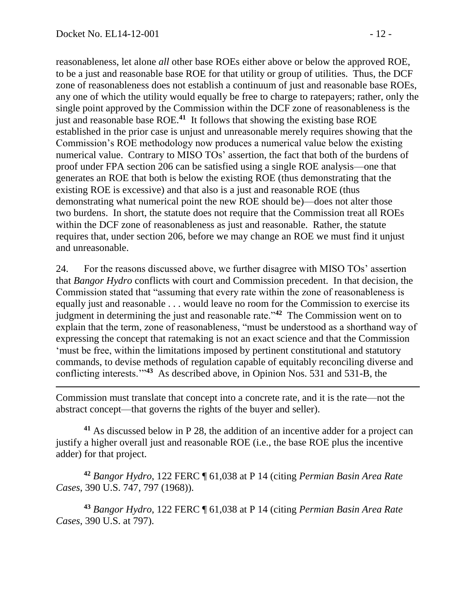reasonableness, let alone *all* other base ROEs either above or below the approved ROE, to be a just and reasonable base ROE for that utility or group of utilities. Thus, the DCF zone of reasonableness does not establish a continuum of just and reasonable base ROEs, any one of which the utility would equally be free to charge to ratepayers; rather, only the single point approved by the Commission within the DCF zone of reasonableness is the just and reasonable base ROE.**<sup>41</sup>** It follows that showing the existing base ROE established in the prior case is unjust and unreasonable merely requires showing that the Commission's ROE methodology now produces a numerical value below the existing numerical value. Contrary to MISO TOs' assertion, the fact that both of the burdens of proof under FPA section 206 can be satisfied using a single ROE analysis—one that generates an ROE that both is below the existing ROE (thus demonstrating that the existing ROE is excessive) and that also is a just and reasonable ROE (thus demonstrating what numerical point the new ROE should be)—does not alter those two burdens. In short, the statute does not require that the Commission treat all ROEs within the DCF zone of reasonableness as just and reasonable. Rather, the statute requires that, under section 206, before we may change an ROE we must find it unjust and unreasonable.

24. For the reasons discussed above, we further disagree with MISO TOs' assertion that *Bangor Hydro* conflicts with court and Commission precedent. In that decision, the Commission stated that "assuming that every rate within the zone of reasonableness is equally just and reasonable . . . would leave no room for the Commission to exercise its judgment in determining the just and reasonable rate."**<sup>42</sup>** The Commission went on to explain that the term, zone of reasonableness, "must be understood as a shorthand way of expressing the concept that ratemaking is not an exact science and that the Commission 'must be free, within the limitations imposed by pertinent constitutional and statutory commands, to devise methods of regulation capable of equitably reconciling diverse and conflicting interests.'"**<sup>43</sup>** As described above, in Opinion Nos. 531 and 531-B, the

Commission must translate that concept into a concrete rate, and it is the rate—not the abstract concept—that governs the rights of the buyer and seller).

**<sup>41</sup>** As discussed below in P 28, the addition of an incentive adder for a project can justify a higher overall just and reasonable ROE (i.e., the base ROE plus the incentive adder) for that project.

**<sup>42</sup>** *Bangor Hydro*, 122 FERC ¶ 61,038 at P 14 (citing *Permian Basin Area Rate Cases*, 390 U.S. 747, 797 (1968)).

**<sup>43</sup>** *Bangor Hydro*, 122 FERC ¶ 61,038 at P 14 (citing *Permian Basin Area Rate Cases*, 390 U.S. at 797).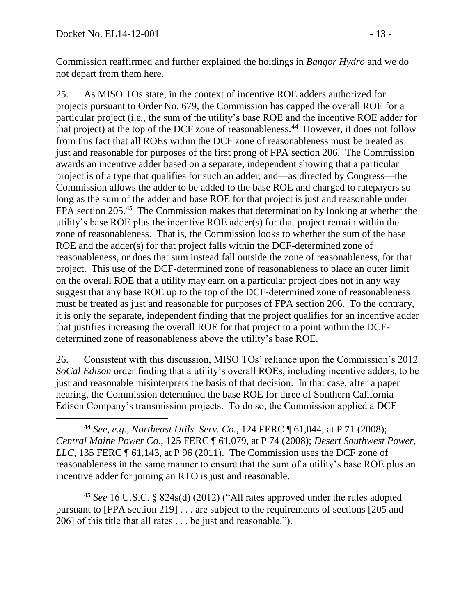$\overline{a}$ 

Commission reaffirmed and further explained the holdings in *Bangor Hydro* and we do not depart from them here.

25. As MISO TOs state, in the context of incentive ROE adders authorized for projects pursuant to Order No. 679, the Commission has capped the overall ROE for a particular project (i.e*.*, the sum of the utility's base ROE and the incentive ROE adder for that project) at the top of the DCF zone of reasonableness.**<sup>44</sup>** However, it does not follow from this fact that all ROEs within the DCF zone of reasonableness must be treated as just and reasonable for purposes of the first prong of FPA section 206. The Commission awards an incentive adder based on a separate, independent showing that a particular project is of a type that qualifies for such an adder, and—as directed by Congress—the Commission allows the adder to be added to the base ROE and charged to ratepayers so long as the sum of the adder and base ROE for that project is just and reasonable under FPA section 205.**<sup>45</sup>** The Commission makes that determination by looking at whether the utility's base ROE plus the incentive ROE adder(s) for that project remain within the zone of reasonableness. That is, the Commission looks to whether the sum of the base ROE and the adder(s) for that project falls within the DCF-determined zone of reasonableness, or does that sum instead fall outside the zone of reasonableness, for that project. This use of the DCF-determined zone of reasonableness to place an outer limit on the overall ROE that a utility may earn on a particular project does not in any way suggest that any base ROE up to the top of the DCF-determined zone of reasonableness must be treated as just and reasonable for purposes of FPA section 206. To the contrary, it is only the separate, independent finding that the project qualifies for an incentive adder that justifies increasing the overall ROE for that project to a point within the DCFdetermined zone of reasonableness above the utility's base ROE.

26. Consistent with this discussion, MISO TOs' reliance upon the Commission's 2012 *SoCal Edison* order finding that a utility's overall ROEs, including incentive adders, to be just and reasonable misinterprets the basis of that decision. In that case, after a paper hearing, the Commission determined the base ROE for three of Southern California Edison Company's transmission projects. To do so, the Commission applied a DCF

**<sup>44</sup>** *See, e.g.*, *Northeast Utils. Serv. Co.*, 124 FERC ¶ 61,044, at P 71 (2008); *Central Maine Power Co.*, 125 FERC ¶ 61,079, at P 74 (2008); *Desert Southwest Power, LLC*, 135 FERC  $\P$  61,143, at P 96 (2011). The Commission uses the DCF zone of reasonableness in the same manner to ensure that the sum of a utility's base ROE plus an incentive adder for joining an RTO is just and reasonable.

**<sup>45</sup>** *See* 16 U.S.C. § 824s(d) (2012) ("All rates approved under the rules adopted pursuant to [FPA section 219] . . . are subject to the requirements of sections [205 and 206] of this title that all rates . . . be just and reasonable.").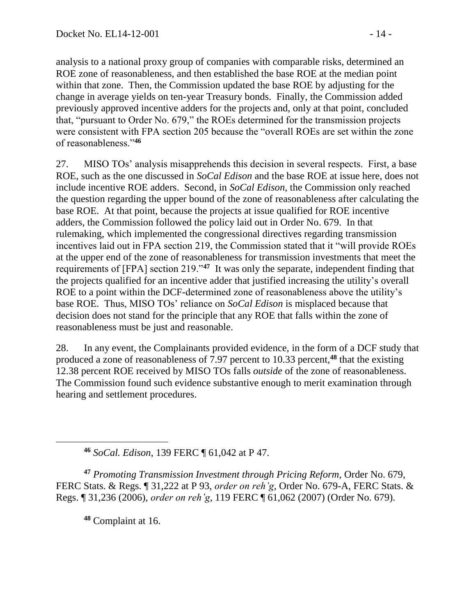analysis to a national proxy group of companies with comparable risks, determined an ROE zone of reasonableness, and then established the base ROE at the median point within that zone. Then, the Commission updated the base ROE by adjusting for the change in average yields on ten-year Treasury bonds. Finally, the Commission added previously approved incentive adders for the projects and, only at that point, concluded that, "pursuant to Order No. 679," the ROEs determined for the transmission projects were consistent with FPA section 205 because the "overall ROEs are set within the zone of reasonableness."**<sup>46</sup>**

27. MISO TOs' analysis misapprehends this decision in several respects. First, a base ROE, such as the one discussed in *SoCal Edison* and the base ROE at issue here, does not include incentive ROE adders. Second, in *SoCal Edison*, the Commission only reached the question regarding the upper bound of the zone of reasonableness after calculating the base ROE. At that point, because the projects at issue qualified for ROE incentive adders, the Commission followed the policy laid out in Order No. 679. In that rulemaking, which implemented the congressional directives regarding transmission incentives laid out in FPA section 219, the Commission stated that it "will provide ROEs at the upper end of the zone of reasonableness for transmission investments that meet the requirements of [FPA] section 219."**<sup>47</sup>** It was only the separate, independent finding that the projects qualified for an incentive adder that justified increasing the utility's overall ROE to a point within the DCF-determined zone of reasonableness above the utility's base ROE. Thus, MISO TOs' reliance on *SoCal Edison* is misplaced because that decision does not stand for the principle that any ROE that falls within the zone of reasonableness must be just and reasonable.

28. In any event, the Complainants provided evidence, in the form of a DCF study that produced a zone of reasonableness of 7.97 percent to 10.33 percent,**<sup>48</sup>** that the existing 12.38 percent ROE received by MISO TOs falls *outside* of the zone of reasonableness. The Commission found such evidence substantive enough to merit examination through hearing and settlement procedures.

**<sup>46</sup>** *SoCal. Edison*, 139 FERC ¶ 61,042 at P 47.

**<sup>47</sup>** *Promoting Transmission Investment through Pricing Reform*, Order No. 679, FERC Stats. & Regs. ¶ 31,222 at P 93, *order on reh'g*, Order No. 679-A, FERC Stats. & Regs. ¶ 31,236 (2006), *order on reh'g*, 119 FERC ¶ 61,062 (2007) (Order No. 679).

**<sup>48</sup>** Complaint at 16.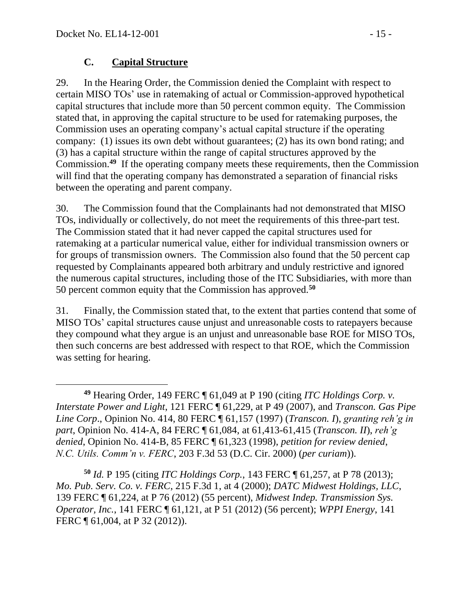### **C. Capital Structure**

29. In the Hearing Order, the Commission denied the Complaint with respect to certain MISO TOs' use in ratemaking of actual or Commission-approved hypothetical capital structures that include more than 50 percent common equity. The Commission stated that, in approving the capital structure to be used for ratemaking purposes, the Commission uses an operating company's actual capital structure if the operating company: (1) issues its own debt without guarantees; (2) has its own bond rating; and (3) has a capital structure within the range of capital structures approved by the Commission.**<sup>49</sup>** If the operating company meets these requirements, then the Commission will find that the operating company has demonstrated a separation of financial risks between the operating and parent company.

30. The Commission found that the Complainants had not demonstrated that MISO TOs, individually or collectively, do not meet the requirements of this three-part test. The Commission stated that it had never capped the capital structures used for ratemaking at a particular numerical value, either for individual transmission owners or for groups of transmission owners. The Commission also found that the 50 percent cap requested by Complainants appeared both arbitrary and unduly restrictive and ignored the numerous capital structures, including those of the ITC Subsidiaries, with more than 50 percent common equity that the Commission has approved.**<sup>50</sup>**

31. Finally, the Commission stated that, to the extent that parties contend that some of MISO TOs' capital structures cause unjust and unreasonable costs to ratepayers because they compound what they argue is an unjust and unreasonable base ROE for MISO TOs, then such concerns are best addressed with respect to that ROE, which the Commission was setting for hearing.

**<sup>50</sup>** *Id.* P 195 (citing *ITC Holdings Corp.*, 143 FERC ¶ 61,257, at P 78 (2013); *Mo. Pub. Serv. Co. v. FERC*, 215 F.3d 1, at 4 (2000); *DATC Midwest Holdings, LLC*, 139 FERC ¶ 61,224, at P 76 (2012) (55 percent), *Midwest Indep. Transmission Sys. Operator, Inc.*, 141 FERC ¶ 61,121, at P 51 (2012) (56 percent); *WPPI Energy*, 141 FERC  $\P$  61,004, at P 32 (2012)).

 $\overline{a}$ **<sup>49</sup>** Hearing Order, 149 FERC ¶ 61,049 at P 190 (citing *ITC Holdings Corp. v. Interstate Power and Light*, 121 FERC ¶ 61,229, at P 49 (2007), and *Transcon. Gas Pipe Line Corp*., Opinion No. 414, 80 FERC ¶ 61,157 (1997) (*Transcon. I*), *granting reh'g in part*, Opinion No. 414-A, 84 FERC ¶ 61,084, at 61,413-61,415 (*Transcon. II*), *reh'g denied*, Opinion No. 414-B, 85 FERC ¶ 61,323 (1998), *petition for review denied*, *N.C. Utils. Comm'n v. FERC*, 203 F.3d 53 (D.C. Cir. 2000) (*per curiam*)).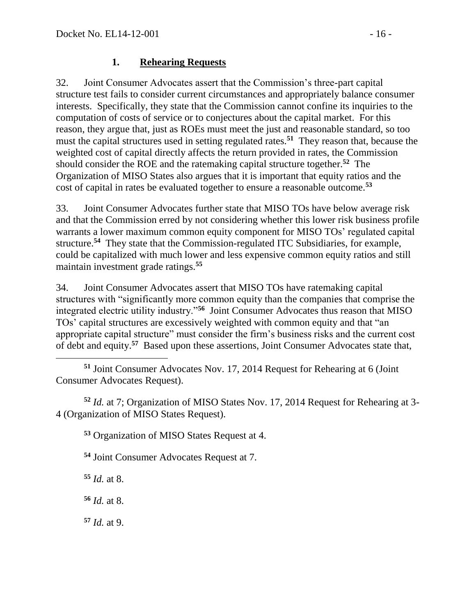### **1. Rehearing Requests**

32. Joint Consumer Advocates assert that the Commission's three-part capital structure test fails to consider current circumstances and appropriately balance consumer interests. Specifically, they state that the Commission cannot confine its inquiries to the computation of costs of service or to conjectures about the capital market. For this reason, they argue that, just as ROEs must meet the just and reasonable standard, so too must the capital structures used in setting regulated rates.**<sup>51</sup>** They reason that, because the weighted cost of capital directly affects the return provided in rates, the Commission should consider the ROE and the ratemaking capital structure together.**<sup>52</sup>** The Organization of MISO States also argues that it is important that equity ratios and the cost of capital in rates be evaluated together to ensure a reasonable outcome.**<sup>53</sup>**

33. Joint Consumer Advocates further state that MISO TOs have below average risk and that the Commission erred by not considering whether this lower risk business profile warrants a lower maximum common equity component for MISO TOs' regulated capital structure.**<sup>54</sup>** They state that the Commission-regulated ITC Subsidiaries, for example, could be capitalized with much lower and less expensive common equity ratios and still maintain investment grade ratings.**<sup>55</sup>**

34. Joint Consumer Advocates assert that MISO TOs have ratemaking capital structures with "significantly more common equity than the companies that comprise the integrated electric utility industry."**<sup>56</sup>** Joint Consumer Advocates thus reason that MISO TOs' capital structures are excessively weighted with common equity and that "an appropriate capital structure" must consider the firm's business risks and the current cost of debt and equity.**<sup>57</sup>** Based upon these assertions, Joint Consumer Advocates state that,

 **<sup>51</sup>** Joint Consumer Advocates Nov. 17, 2014 Request for Rehearing at 6 (Joint Consumer Advocates Request).

**<sup>52</sup>** *Id.* at 7; Organization of MISO States Nov. 17, 2014 Request for Rehearing at 3- 4 (Organization of MISO States Request).

**<sup>53</sup>** Organization of MISO States Request at 4.

**<sup>54</sup>** Joint Consumer Advocates Request at 7.

**<sup>55</sup>** *Id.* at 8.

**<sup>56</sup>** *Id.* at 8.

**<sup>57</sup>** *Id.* at 9.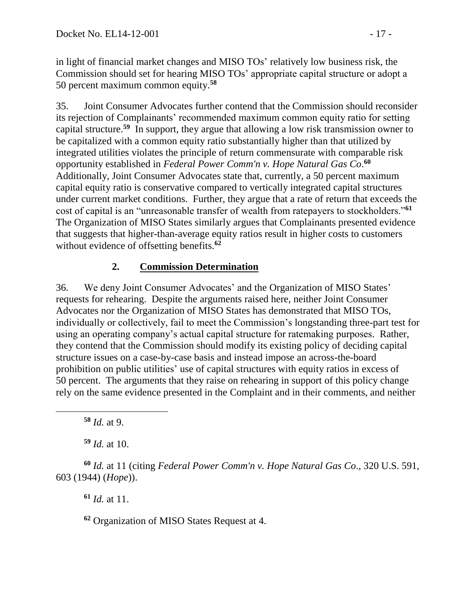in light of financial market changes and MISO TOs' relatively low business risk, the Commission should set for hearing MISO TOs' appropriate capital structure or adopt a 50 percent maximum common equity. **58**

35. Joint Consumer Advocates further contend that the Commission should reconsider its rejection of Complainants' recommended maximum common equity ratio for setting capital structure.**<sup>59</sup>** In support, they argue that allowing a low risk transmission owner to be capitalized with a common equity ratio substantially higher than that utilized by integrated utilities violates the principle of return commensurate with comparable risk opportunity established in *Federal Power Comm'n v. Hope Natural Gas Co*. **60** Additionally, Joint Consumer Advocates state that, currently, a 50 percent maximum capital equity ratio is conservative compared to vertically integrated capital structures under current market conditions. Further, they argue that a rate of return that exceeds the cost of capital is an "unreasonable transfer of wealth from ratepayers to stockholders."**<sup>61</sup>** The Organization of MISO States similarly argues that Complainants presented evidence that suggests that higher-than-average equity ratios result in higher costs to customers without evidence of offsetting benefits.**<sup>62</sup>**

## **2. Commission Determination**

36. We deny Joint Consumer Advocates' and the Organization of MISO States' requests for rehearing. Despite the arguments raised here, neither Joint Consumer Advocates nor the Organization of MISO States has demonstrated that MISO TOs, individually or collectively, fail to meet the Commission's longstanding three-part test for using an operating company's actual capital structure for ratemaking purposes. Rather, they contend that the Commission should modify its existing policy of deciding capital structure issues on a case-by-case basis and instead impose an across-the-board prohibition on public utilities' use of capital structures with equity ratios in excess of 50 percent. The arguments that they raise on rehearing in support of this policy change rely on the same evidence presented in the Complaint and in their comments, and neither

**<sup>58</sup>** *Id.* at 9.

**<sup>59</sup>** *Id.* at 10.

**<sup>60</sup>** *Id.* at 11 (citing *Federal Power Comm'n v. Hope Natural Gas Co*., 320 U.S. 591, 603 (1944) (*Hope*)).

**<sup>61</sup>** *Id.* at 11.

**<sup>62</sup>** Organization of MISO States Request at 4.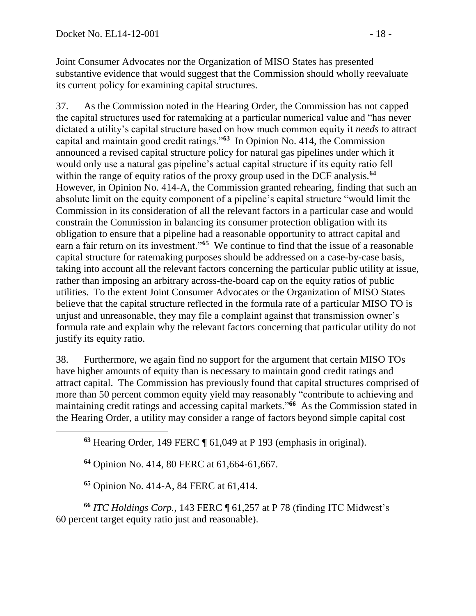Joint Consumer Advocates nor the Organization of MISO States has presented substantive evidence that would suggest that the Commission should wholly reevaluate its current policy for examining capital structures.

37. As the Commission noted in the Hearing Order, the Commission has not capped the capital structures used for ratemaking at a particular numerical value and "has never dictated a utility's capital structure based on how much common equity it *needs* to attract capital and maintain good credit ratings."**<sup>63</sup>** In Opinion No. 414, the Commission announced a revised capital structure policy for natural gas pipelines under which it would only use a natural gas pipeline's actual capital structure if its equity ratio fell within the range of equity ratios of the proxy group used in the DCF analysis.**<sup>64</sup>** However, in Opinion No. 414-A, the Commission granted rehearing, finding that such an absolute limit on the equity component of a pipeline's capital structure "would limit the Commission in its consideration of all the relevant factors in a particular case and would constrain the Commission in balancing its consumer protection obligation with its obligation to ensure that a pipeline had a reasonable opportunity to attract capital and earn a fair return on its investment.<sup>565</sup> We continue to find that the issue of a reasonable capital structure for ratemaking purposes should be addressed on a case-by-case basis, taking into account all the relevant factors concerning the particular public utility at issue, rather than imposing an arbitrary across-the-board cap on the equity ratios of public utilities. To the extent Joint Consumer Advocates or the Organization of MISO States believe that the capital structure reflected in the formula rate of a particular MISO TO is unjust and unreasonable, they may file a complaint against that transmission owner's formula rate and explain why the relevant factors concerning that particular utility do not justify its equity ratio.

38. Furthermore, we again find no support for the argument that certain MISO TOs have higher amounts of equity than is necessary to maintain good credit ratings and attract capital. The Commission has previously found that capital structures comprised of more than 50 percent common equity yield may reasonably "contribute to achieving and maintaining credit ratings and accessing capital markets."<sup>66</sup> As the Commission stated in the Hearing Order, a utility may consider a range of factors beyond simple capital cost

**<sup>63</sup>** Hearing Order, 149 FERC ¶ 61,049 at P 193 (emphasis in original).

**<sup>64</sup>** Opinion No. 414, 80 FERC at 61,664-61,667.

**<sup>65</sup>** Opinion No. 414-A, 84 FERC at 61,414.

 $\overline{a}$ 

**<sup>66</sup>** *ITC Holdings Corp.*, 143 FERC ¶ 61,257 at P 78 (finding ITC Midwest's 60 percent target equity ratio just and reasonable).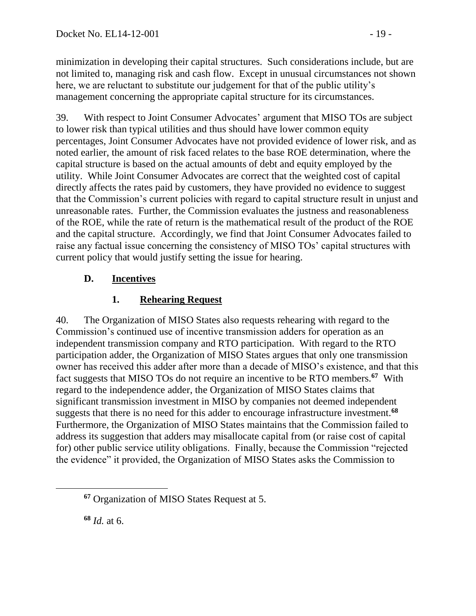minimization in developing their capital structures. Such considerations include, but are not limited to, managing risk and cash flow. Except in unusual circumstances not shown here, we are reluctant to substitute our judgement for that of the public utility's management concerning the appropriate capital structure for its circumstances.

39. With respect to Joint Consumer Advocates' argument that MISO TOs are subject to lower risk than typical utilities and thus should have lower common equity percentages, Joint Consumer Advocates have not provided evidence of lower risk, and as noted earlier, the amount of risk faced relates to the base ROE determination, where the capital structure is based on the actual amounts of debt and equity employed by the utility. While Joint Consumer Advocates are correct that the weighted cost of capital directly affects the rates paid by customers, they have provided no evidence to suggest that the Commission's current policies with regard to capital structure result in unjust and unreasonable rates. Further, the Commission evaluates the justness and reasonableness of the ROE, while the rate of return is the mathematical result of the product of the ROE and the capital structure. Accordingly, we find that Joint Consumer Advocates failed to raise any factual issue concerning the consistency of MISO TOs' capital structures with current policy that would justify setting the issue for hearing.

# **D. Incentives**

# **1. Rehearing Request**

40. The Organization of MISO States also requests rehearing with regard to the Commission's continued use of incentive transmission adders for operation as an independent transmission company and RTO participation. With regard to the RTO participation adder, the Organization of MISO States argues that only one transmission owner has received this adder after more than a decade of MISO's existence, and that this fact suggests that MISO TOs do not require an incentive to be RTO members.**<sup>67</sup>** With regard to the independence adder, the Organization of MISO States claims that significant transmission investment in MISO by companies not deemed independent suggests that there is no need for this adder to encourage infrastructure investment.**<sup>68</sup>** Furthermore, the Organization of MISO States maintains that the Commission failed to address its suggestion that adders may misallocate capital from (or raise cost of capital for) other public service utility obligations. Finally, because the Commission "rejected the evidence" it provided, the Organization of MISO States asks the Commission to

**<sup>68</sup>** *Id.* at 6.

 $\overline{a}$ 

**<sup>67</sup>** Organization of MISO States Request at 5.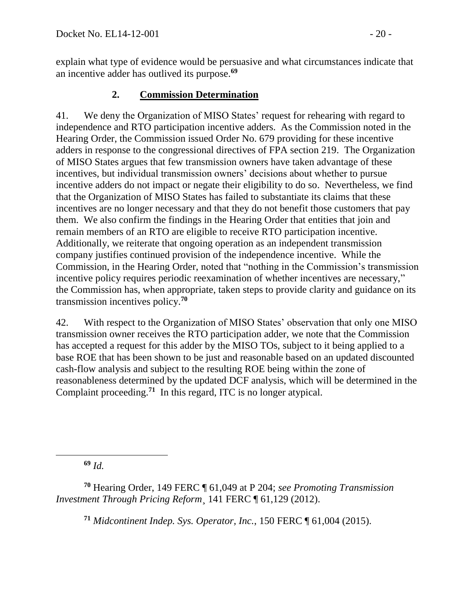explain what type of evidence would be persuasive and what circumstances indicate that an incentive adder has outlived its purpose.**<sup>69</sup>**

## **2. Commission Determination**

41. We deny the Organization of MISO States' request for rehearing with regard to independence and RTO participation incentive adders. As the Commission noted in the Hearing Order, the Commission issued Order No. 679 providing for these incentive adders in response to the congressional directives of FPA section 219. The Organization of MISO States argues that few transmission owners have taken advantage of these incentives, but individual transmission owners' decisions about whether to pursue incentive adders do not impact or negate their eligibility to do so. Nevertheless, we find that the Organization of MISO States has failed to substantiate its claims that these incentives are no longer necessary and that they do not benefit those customers that pay them. We also confirm the findings in the Hearing Order that entities that join and remain members of an RTO are eligible to receive RTO participation incentive. Additionally, we reiterate that ongoing operation as an independent transmission company justifies continued provision of the independence incentive. While the Commission, in the Hearing Order, noted that "nothing in the Commission's transmission incentive policy requires periodic reexamination of whether incentives are necessary," the Commission has, when appropriate, taken steps to provide clarity and guidance on its transmission incentives policy.**<sup>70</sup>**

42. With respect to the Organization of MISO States' observation that only one MISO transmission owner receives the RTO participation adder, we note that the Commission has accepted a request for this adder by the MISO TOs, subject to it being applied to a base ROE that has been shown to be just and reasonable based on an updated discounted cash-flow analysis and subject to the resulting ROE being within the zone of reasonableness determined by the updated DCF analysis, which will be determined in the Complaint proceeding.**<sup>71</sup>** In this regard, ITC is no longer atypical.

**<sup>69</sup>** *Id.*

**<sup>71</sup>** *Midcontinent Indep. Sys. Operator, Inc.*, 150 FERC ¶ 61,004 (2015).

**<sup>70</sup>** Hearing Order, 149 FERC ¶ 61,049 at P 204; *see Promoting Transmission Investment Through Pricing Reform*¸ 141 FERC ¶ 61,129 (2012).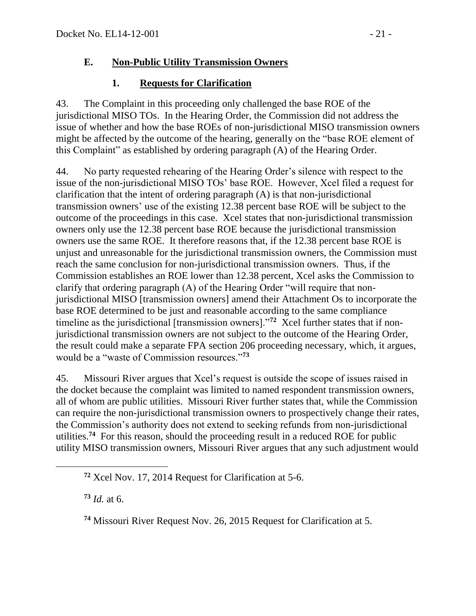### **E. Non-Public Utility Transmission Owners**

# **1. Requests for Clarification**

43. The Complaint in this proceeding only challenged the base ROE of the jurisdictional MISO TOs. In the Hearing Order, the Commission did not address the issue of whether and how the base ROEs of non-jurisdictional MISO transmission owners might be affected by the outcome of the hearing, generally on the "base ROE element of this Complaint" as established by ordering paragraph (A) of the Hearing Order.

44. No party requested rehearing of the Hearing Order's silence with respect to the issue of the non-jurisdictional MISO TOs' base ROE. However, Xcel filed a request for clarification that the intent of ordering paragraph (A) is that non-jurisdictional transmission owners' use of the existing 12.38 percent base ROE will be subject to the outcome of the proceedings in this case. Xcel states that non-jurisdictional transmission owners only use the 12.38 percent base ROE because the jurisdictional transmission owners use the same ROE. It therefore reasons that, if the 12.38 percent base ROE is unjust and unreasonable for the jurisdictional transmission owners, the Commission must reach the same conclusion for non-jurisdictional transmission owners. Thus, if the Commission establishes an ROE lower than 12.38 percent, Xcel asks the Commission to clarify that ordering paragraph (A) of the Hearing Order "will require that nonjurisdictional MISO [transmission owners] amend their Attachment Os to incorporate the base ROE determined to be just and reasonable according to the same compliance timeline as the jurisdictional [transmission owners]."**<sup>72</sup>** Xcel further states that if nonjurisdictional transmission owners are not subject to the outcome of the Hearing Order, the result could make a separate FPA section 206 proceeding necessary, which, it argues, would be a "waste of Commission resources."**<sup>73</sup>**

45. Missouri River argues that Xcel's request is outside the scope of issues raised in the docket because the complaint was limited to named respondent transmission owners, all of whom are public utilities. Missouri River further states that, while the Commission can require the non-jurisdictional transmission owners to prospectively change their rates, the Commission's authority does not extend to seeking refunds from non-jurisdictional utilities.**<sup>74</sup>** For this reason, should the proceeding result in a reduced ROE for public utility MISO transmission owners, Missouri River argues that any such adjustment would

**<sup>73</sup>** *Id.* at 6.

**<sup>74</sup>** Missouri River Request Nov. 26, 2015 Request for Clarification at 5.

**<sup>72</sup>** Xcel Nov. 17, 2014 Request for Clarification at 5-6.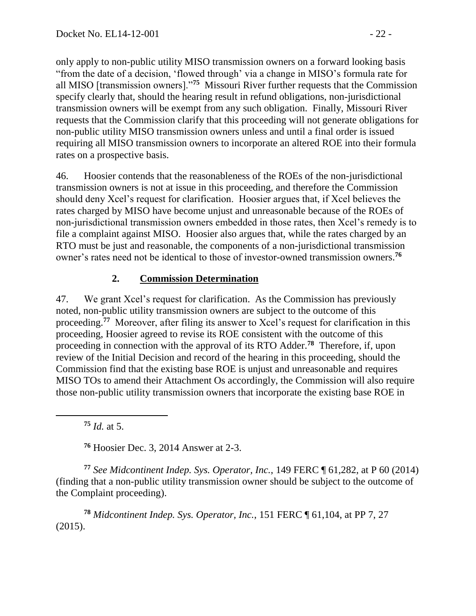only apply to non-public utility MISO transmission owners on a forward looking basis "from the date of a decision, 'flowed through' via a change in MISO's formula rate for all MISO [transmission owners]."**<sup>75</sup>** Missouri River further requests that the Commission specify clearly that, should the hearing result in refund obligations, non-jurisdictional transmission owners will be exempt from any such obligation. Finally, Missouri River requests that the Commission clarify that this proceeding will not generate obligations for non-public utility MISO transmission owners unless and until a final order is issued requiring all MISO transmission owners to incorporate an altered ROE into their formula rates on a prospective basis.

46. Hoosier contends that the reasonableness of the ROEs of the non-jurisdictional transmission owners is not at issue in this proceeding, and therefore the Commission should deny Xcel's request for clarification. Hoosier argues that, if Xcel believes the rates charged by MISO have become unjust and unreasonable because of the ROEs of non-jurisdictional transmission owners embedded in those rates, then Xcel's remedy is to file a complaint against MISO. Hoosier also argues that, while the rates charged by an RTO must be just and reasonable, the components of a non-jurisdictional transmission owner's rates need not be identical to those of investor-owned transmission owners. **76**

# **2. Commission Determination**

47. We grant Xcel's request for clarification. As the Commission has previously noted, non-public utility transmission owners are subject to the outcome of this proceeding.<sup>77</sup> Moreover, after filing its answer to Xcel's request for clarification in this proceeding, Hoosier agreed to revise its ROE consistent with the outcome of this proceeding in connection with the approval of its RTO Adder.**<sup>78</sup>** Therefore, if, upon review of the Initial Decision and record of the hearing in this proceeding, should the Commission find that the existing base ROE is unjust and unreasonable and requires MISO TOs to amend their Attachment Os accordingly, the Commission will also require those non-public utility transmission owners that incorporate the existing base ROE in

**<sup>75</sup>** *Id.* at 5.

 $\overline{a}$ 

**<sup>76</sup>** Hoosier Dec. 3, 2014 Answer at 2-3.

**<sup>77</sup>** *See Midcontinent Indep. Sys. Operator, Inc.*, 149 FERC ¶ 61,282, at P 60 (2014) (finding that a non-public utility transmission owner should be subject to the outcome of the Complaint proceeding).

**<sup>78</sup>** *Midcontinent Indep. Sys. Operator, Inc.*, 151 FERC ¶ 61,104, at PP 7, 27 (2015).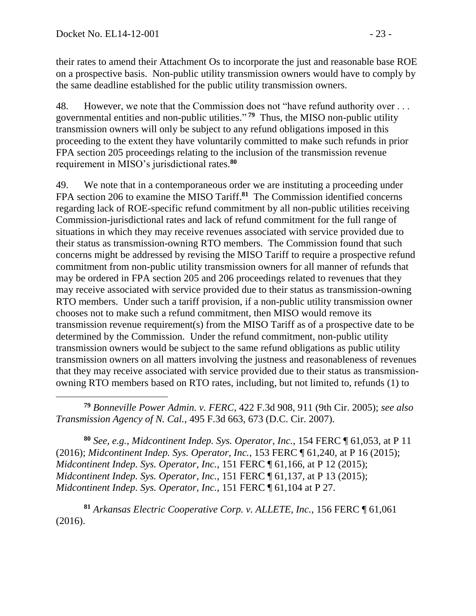their rates to amend their Attachment Os to incorporate the just and reasonable base ROE on a prospective basis. Non-public utility transmission owners would have to comply by the same deadline established for the public utility transmission owners.

48. However, we note that the Commission does not "have refund authority over . . . governmental entities and non-public utilities." **<sup>79</sup>** Thus, the MISO non-public utility transmission owners will only be subject to any refund obligations imposed in this proceeding to the extent they have voluntarily committed to make such refunds in prior FPA section 205 proceedings relating to the inclusion of the transmission revenue requirement in MISO's jurisdictional rates. **80**

49. We note that in a contemporaneous order we are instituting a proceeding under FPA section 206 to examine the MISO Tariff.**<sup>81</sup>** The Commission identified concerns regarding lack of ROE-specific refund commitment by all non-public utilities receiving Commission-jurisdictional rates and lack of refund commitment for the full range of situations in which they may receive revenues associated with service provided due to their status as transmission-owning RTO members. The Commission found that such concerns might be addressed by revising the MISO Tariff to require a prospective refund commitment from non-public utility transmission owners for all manner of refunds that may be ordered in FPA section 205 and 206 proceedings related to revenues that they may receive associated with service provided due to their status as transmission-owning RTO members. Under such a tariff provision, if a non-public utility transmission owner chooses not to make such a refund commitment, then MISO would remove its transmission revenue requirement(s) from the MISO Tariff as of a prospective date to be determined by the Commission. Under the refund commitment, non-public utility transmission owners would be subject to the same refund obligations as public utility transmission owners on all matters involving the justness and reasonableness of revenues that they may receive associated with service provided due to their status as transmissionowning RTO members based on RTO rates, including, but not limited to, refunds (1) to

 $\overline{a}$ **<sup>79</sup>** *Bonneville Power Admin. v. FERC*, 422 F.3d 908, 911 (9th Cir. 2005); *see also Transmission Agency of N. Cal.*, 495 F.3d 663, 673 (D.C. Cir. 2007).

**<sup>80</sup>** *See, e.g.*, *Midcontinent Indep. Sys. Operator, Inc.*, 154 FERC ¶ 61,053, at P 11 (2016); *Midcontinent Indep. Sys. Operator, Inc.*, 153 FERC ¶ 61,240, at P 16 (2015); *Midcontinent Indep. Sys. Operator, Inc.*, 151 FERC ¶ 61,166, at P 12 (2015); *Midcontinent Indep. Sys. Operator, Inc.*, 151 FERC ¶ 61,137, at P 13 (2015); *Midcontinent Indep. Sys. Operator, Inc.*, 151 FERC ¶ 61,104 at P 27.

**<sup>81</sup>** *Arkansas Electric Cooperative Corp. v. ALLETE, Inc.*, 156 FERC ¶ 61,061 (2016).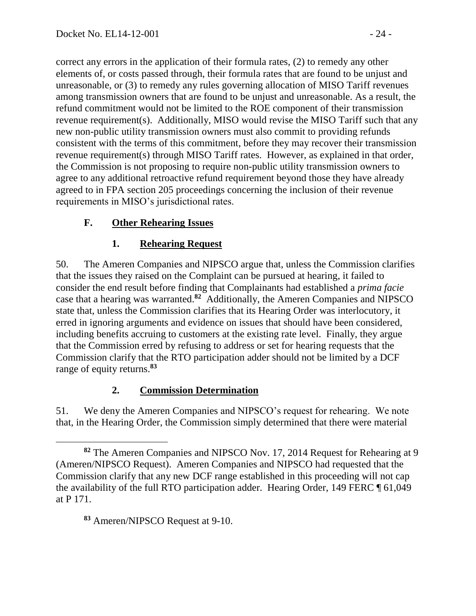correct any errors in the application of their formula rates, (2) to remedy any other elements of, or costs passed through, their formula rates that are found to be unjust and unreasonable, or (3) to remedy any rules governing allocation of MISO Tariff revenues among transmission owners that are found to be unjust and unreasonable. As a result, the refund commitment would not be limited to the ROE component of their transmission revenue requirement(s). Additionally, MISO would revise the MISO Tariff such that any new non-public utility transmission owners must also commit to providing refunds consistent with the terms of this commitment, before they may recover their transmission revenue requirement(s) through MISO Tariff rates. However, as explained in that order, the Commission is not proposing to require non-public utility transmission owners to agree to any additional retroactive refund requirement beyond those they have already agreed to in FPA section 205 proceedings concerning the inclusion of their revenue requirements in MISO's jurisdictional rates.

# **F. Other Rehearing Issues**

## **1. Rehearing Request**

50. The Ameren Companies and NIPSCO argue that, unless the Commission clarifies that the issues they raised on the Complaint can be pursued at hearing, it failed to consider the end result before finding that Complainants had established a *prima facie*  case that a hearing was warranted.**<sup>82</sup>** Additionally, the Ameren Companies and NIPSCO state that, unless the Commission clarifies that its Hearing Order was interlocutory, it erred in ignoring arguments and evidence on issues that should have been considered, including benefits accruing to customers at the existing rate level. Finally, they argue that the Commission erred by refusing to address or set for hearing requests that the Commission clarify that the RTO participation adder should not be limited by a DCF range of equity returns.**<sup>83</sup>**

# **2. Commission Determination**

51. We deny the Ameren Companies and NIPSCO's request for rehearing. We note that, in the Hearing Order, the Commission simply determined that there were material

**<sup>82</sup>** The Ameren Companies and NIPSCO Nov. 17, 2014 Request for Rehearing at 9 (Ameren/NIPSCO Request). Ameren Companies and NIPSCO had requested that the Commission clarify that any new DCF range established in this proceeding will not cap the availability of the full RTO participation adder. Hearing Order, 149 FERC ¶ 61,049 at P 171.

**<sup>83</sup>** Ameren/NIPSCO Request at 9-10.